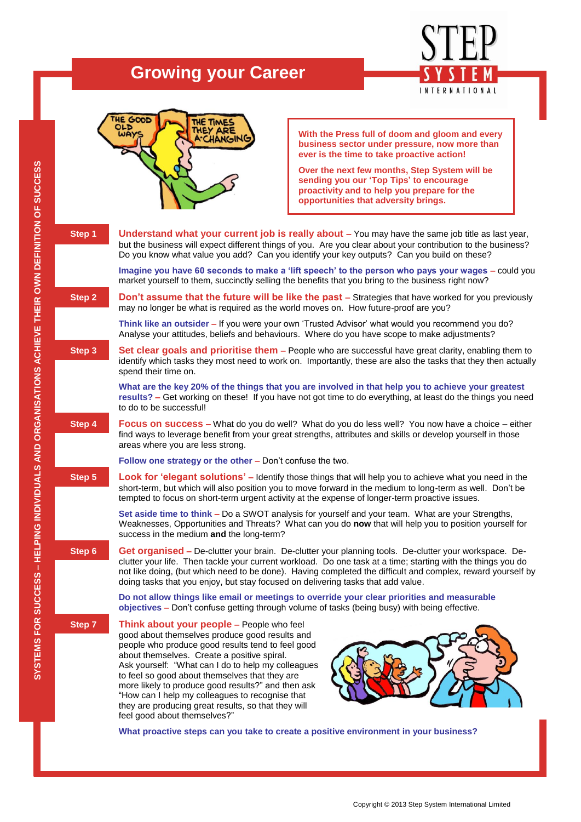# **Growing your Career**





**With the Press full of doom and gloom and every business sector under pressure, now more than ever is the time to take proactive action!** 

**Over the next few months, Step System will be sending you our 'Top Tips' to encourage proactivity and to help you prepare for the opportunities that adversity brings.** 

| Step 1 | Understand what your current job is really about - You may have the same job title as last year,<br>but the business will expect different things of you. Are you clear about your contribution to the business?<br>Do you know what value you add? Can you identify your key outputs? Can you build on these?                                                                                                                                                                                          |
|--------|---------------------------------------------------------------------------------------------------------------------------------------------------------------------------------------------------------------------------------------------------------------------------------------------------------------------------------------------------------------------------------------------------------------------------------------------------------------------------------------------------------|
|        | Imagine you have 60 seconds to make a 'lift speech' to the person who pays your wages - could you<br>market yourself to them, succinctly selling the benefits that you bring to the business right now?                                                                                                                                                                                                                                                                                                 |
| Step 2 | Don't assume that the future will be like the past - Strategies that have worked for you previously<br>may no longer be what is required as the world moves on. How future-proof are you?                                                                                                                                                                                                                                                                                                               |
|        | Think like an outsider - If you were your own 'Trusted Advisor' what would you recommend you do?<br>Analyse your attitudes, beliefs and behaviours. Where do you have scope to make adjustments?                                                                                                                                                                                                                                                                                                        |
| Step 3 | Set clear goals and prioritise them - People who are successful have great clarity, enabling them to<br>identify which tasks they most need to work on. Importantly, these are also the tasks that they then actually<br>spend their time on.                                                                                                                                                                                                                                                           |
|        | What are the key 20% of the things that you are involved in that help you to achieve your greatest<br>results? - Get working on these! If you have not got time to do everything, at least do the things you need<br>to do to be successful!                                                                                                                                                                                                                                                            |
| Step 4 | <b>Focus on success</b> – What do you do well? What do you do less well? You now have a choice – either<br>find ways to leverage benefit from your great strengths, attributes and skills or develop yourself in those<br>areas where you are less strong.                                                                                                                                                                                                                                              |
|        | Follow one strategy or the other – Don't confuse the two.                                                                                                                                                                                                                                                                                                                                                                                                                                               |
| Step 5 | Look for 'elegant solutions' - Identify those things that will help you to achieve what you need in the<br>short-term, but which will also position you to move forward in the medium to long-term as well. Don't be<br>tempted to focus on short-term urgent activity at the expense of longer-term proactive issues.                                                                                                                                                                                  |
|        | Set aside time to think - Do a SWOT analysis for yourself and your team. What are your Strengths,<br>Weaknesses, Opportunities and Threats? What can you do now that will help you to position yourself for<br>success in the medium and the long-term?                                                                                                                                                                                                                                                 |
| Step 6 | Get organised - De-clutter your brain. De-clutter your planning tools. De-clutter your workspace. De-<br>clutter your life. Then tackle your current workload. Do one task at a time; starting with the things you do<br>not like doing, (but which need to be done). Having completed the difficult and complex, reward yourself by<br>doing tasks that you enjoy, but stay focused on delivering tasks that add value.                                                                                |
|        | Do not allow things like email or meetings to override your clear priorities and measurable<br>objectives - Don't confuse getting through volume of tasks (being busy) with being effective.                                                                                                                                                                                                                                                                                                            |
| Step 7 | Think about your people - People who feel<br>good about themselves produce good results and<br>people who produce good results tend to feel good<br>about themselves. Create a positive spiral.<br>Ask yourself: "What can I do to help my colleagues<br>to feel so good about themselves that they are<br>more likely to produce good results?" and then ask<br>"How can I help my colleagues to recognise that<br>they are producing great results, so that they will<br>feel good about themselves?" |

**What proactive steps can you take to create a positive environment in your business?**